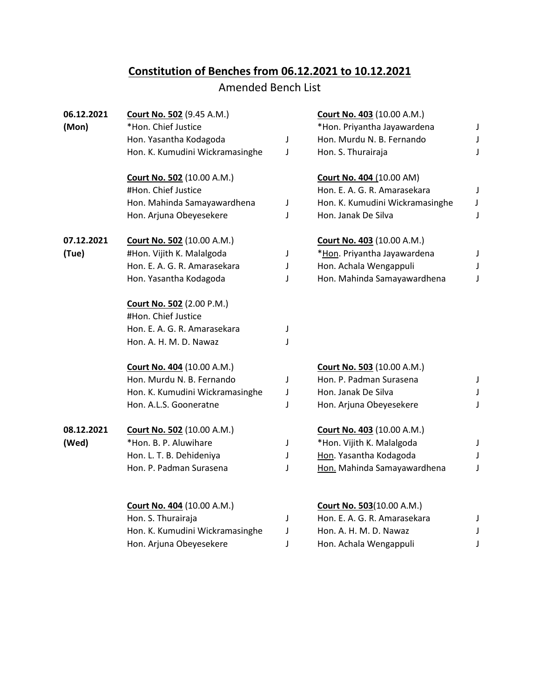## **Constitution of Benches from 06.12.2021 to 10.12.2021**

## Amended Bench List

| 06.12.2021 | <b>Court No. 502 (9.45 A.M.)</b>  |   | Court No. 403 (10.00 A.M.)        |   |
|------------|-----------------------------------|---|-----------------------------------|---|
| (Mon)      | *Hon. Chief Justice               |   | *Hon. Priyantha Jayawardena       | J |
|            | Hon. Yasantha Kodagoda            | J | Hon. Murdu N. B. Fernando         | J |
|            | Hon. K. Kumudini Wickramasinghe   | J | Hon. S. Thurairaja                | J |
|            | <b>Court No. 502 (10.00 A.M.)</b> |   | <b>Court No. 404 (10.00 AM)</b>   |   |
|            | #Hon. Chief Justice               |   | Hon. E. A. G. R. Amarasekara      | J |
|            | Hon. Mahinda Samayawardhena       | J | Hon. K. Kumudini Wickramasinghe   | J |
|            | Hon. Arjuna Obeyesekere           | J | Hon. Janak De Silva               | J |
| 07.12.2021 | <b>Court No. 502</b> (10.00 A.M.) |   | <b>Court No. 403 (10.00 A.M.)</b> |   |
| (Tue)      | #Hon. Vijith K. Malalgoda         | J | *Hon. Priyantha Jayawardena       | J |
|            | Hon. E. A. G. R. Amarasekara      | J | Hon. Achala Wengappuli            |   |
|            | Hon. Yasantha Kodagoda            | J | Hon. Mahinda Samayawardhena       | J |
|            | Court No. 502 (2.00 P.M.)         |   |                                   |   |
|            | #Hon. Chief Justice               |   |                                   |   |
|            | Hon. E. A. G. R. Amarasekara      | J |                                   |   |
|            | Hon. A. H. M. D. Nawaz            | J |                                   |   |
|            | <b>Court No. 404 (10.00 A.M.)</b> |   | <b>Court No. 503 (10.00 A.M.)</b> |   |
|            | Hon. Murdu N. B. Fernando         | J | Hon. P. Padman Surasena           | J |
|            | Hon. K. Kumudini Wickramasinghe   | J | Hon. Janak De Silva               |   |
|            | Hon. A.L.S. Gooneratne            | J | Hon. Arjuna Obeyesekere           | J |
| 08.12.2021 | <b>Court No. 502</b> (10.00 A.M.) |   | <b>Court No. 403 (10.00 A.M.)</b> |   |
| (Wed)      | *Hon. B. P. Aluwihare             | J | *Hon. Vijith K. Malalgoda         | J |
|            | Hon. L. T. B. Dehideniya          | J | Hon. Yasantha Kodagoda            |   |
|            | Hon. P. Padman Surasena           | J | Hon. Mahinda Samayawardhena       | J |
|            |                                   |   |                                   |   |
|            | Court No. 404 (10.00 A.M.)        |   | <b>Court No. 503(10.00 A.M.)</b>  |   |
|            | Hon. S. Thurairaja                | J | Hon. E. A. G. R. Amarasekara      | J |
|            | Hon. K. Kumudini Wickramasinghe   | J | Hon. A. H. M. D. Nawaz            |   |
|            | Hon. Arjuna Obeyesekere           | J | Hon. Achala Wengappuli            | J |
|            |                                   |   |                                   |   |